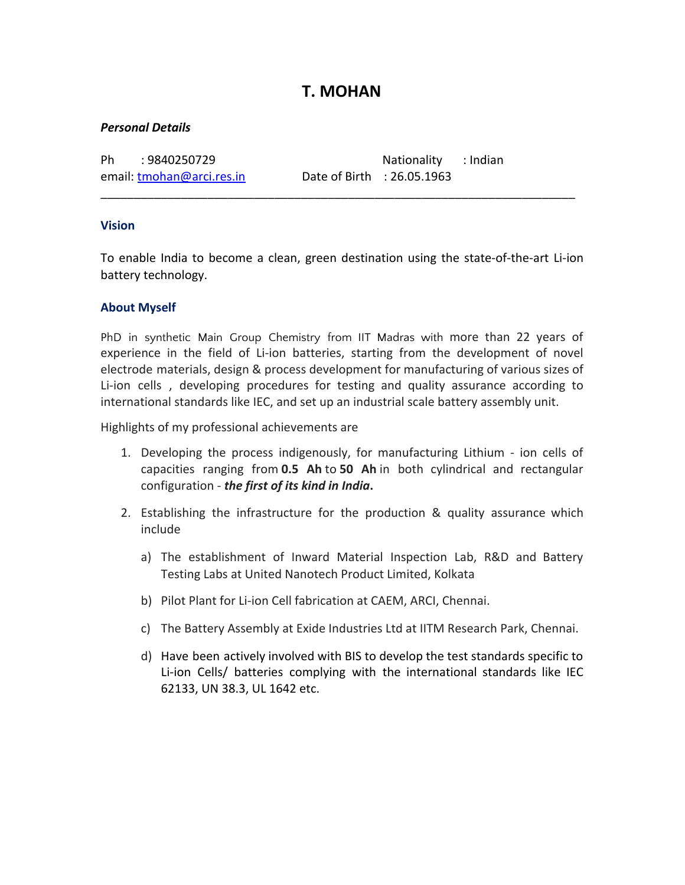# **T. MOHAN**

### *Personal Details*

email: [tmohan@arci.res.in](mailto:tmohan@arci.res.in) Date of Birth : 26.05.1963

Ph : 9840250729 Nationality : Indian

### **Vision**

To enable India to become a clean, green destination using the state-of-the-art Li-ion battery technology.

\_\_\_\_\_\_\_\_\_\_\_\_\_\_\_\_\_\_\_\_\_\_\_\_\_\_\_\_\_\_\_\_\_\_\_\_\_\_\_\_\_\_\_\_\_\_\_\_\_\_\_\_\_\_\_\_\_\_\_\_\_\_\_\_\_\_\_\_\_\_\_

# **About Myself**

PhD in synthetic Main Group Chemistry from IIT Madras with more than 22 years of experience in the field of Li-ion batteries, starting from the development of novel electrode materials, design & process development for manufacturing of various sizes of Li-ion cells , developing procedures for testing and quality assurance according to international standards like IEC, and set up an industrial scale battery assembly unit.

Highlights of my professional achievements are

- 1. Developing the process indigenously, for manufacturing Lithium ion cells of capacities ranging from **0.5 Ah** to **50 Ah** in both cylindrical and rectangular configuration - *the first of its kind in India***.**
- 2. Establishing the infrastructure for the production & quality assurance which include
	- a) The establishment of Inward Material Inspection Lab, R&D and Battery Testing Labs at United Nanotech Product Limited, Kolkata
	- b) Pilot Plant for Li-ion Cell fabrication at CAEM, ARCI, Chennai.
	- c) The Battery Assembly at Exide Industries Ltd at IITM Research Park, Chennai.
	- d) Have been actively involved with BIS to develop the test standards specific to Li-ion Cells/ batteries complying with the international standards like IEC 62133, UN 38.3, UL 1642 etc.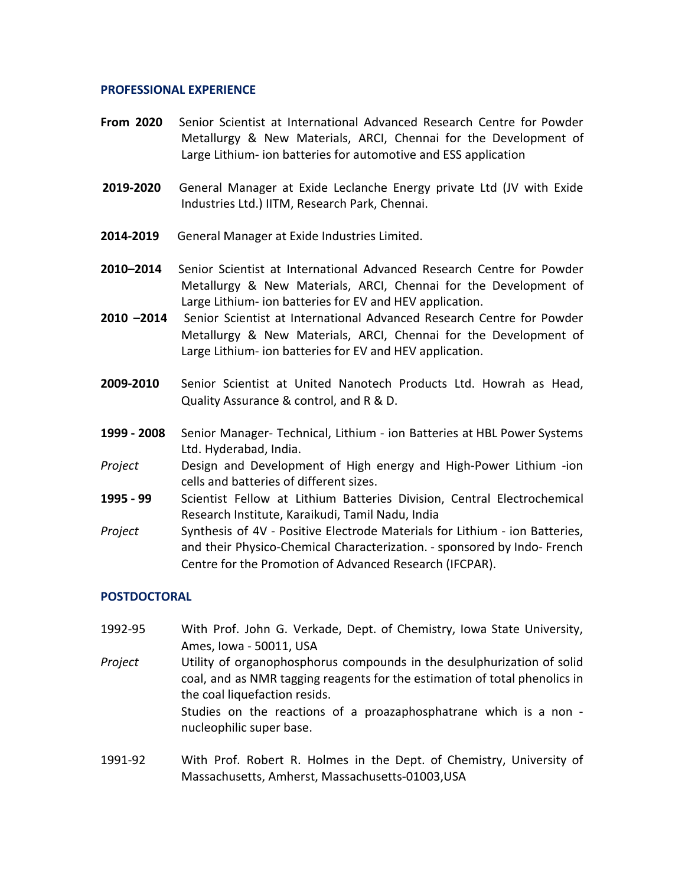#### **PROFESSIONAL EXPERIENCE**

- **From 2020** Senior Scientist at International Advanced Research Centre for Powder Metallurgy & New Materials, ARCI, Chennai for the Development of Large Lithium- ion batteries for automotive and ESS application
- **2019-2020** General Manager at Exide Leclanche Energy private Ltd (JV with Exide Industries Ltd.) IITM, Research Park, Chennai.
- **2014-2019** General Manager at Exide Industries Limited.
- **2010–2014** Senior Scientist at International Advanced Research Centre for Powder Metallurgy & New Materials, ARCI, Chennai for the Development of Large Lithium- ion batteries for EV and HEV application.
- **2010 –2014** Senior Scientist at International Advanced Research Centre for Powder Metallurgy & New Materials, ARCI, Chennai for the Development of Large Lithium- ion batteries for EV and HEV application.
- **2009-2010** Senior Scientist at United Nanotech Products Ltd. Howrah as Head, Quality Assurance & control, and R & D.
- **1999 2008** Senior Manager- Technical, Lithium ion Batteries at HBL Power Systems Ltd. Hyderabad, India.
- *Project* Design and Development of High energy and High-Power Lithium -ion cells and batteries of different sizes.
- **1995 99** Scientist Fellow at Lithium Batteries Division, Central Electrochemical Research Institute, Karaikudi, Tamil Nadu, India
- *Project* Synthesis of 4V Positive Electrode Materials for Lithium ion Batteries, and their Physico-Chemical Characterization. - sponsored by Indo- French Centre for the Promotion of Advanced Research (IFCPAR).

#### **POSTDOCTORAL**

- 1992-95 With Prof. John G. Verkade, Dept. of Chemistry, Iowa State University, Ames, Iowa - 50011, USA *Project* Utility of organophosphorus compounds in the desulphurization of solid coal, and as NMR tagging reagents for the estimation of total phenolics in the coal liquefaction resids. Studies on the reactions of a proazaphosphatrane which is a non nucleophilic super base.
- 1991-92 With Prof. Robert R. Holmes in the Dept. of Chemistry, University of Massachusetts, Amherst, Massachusetts-01003,USA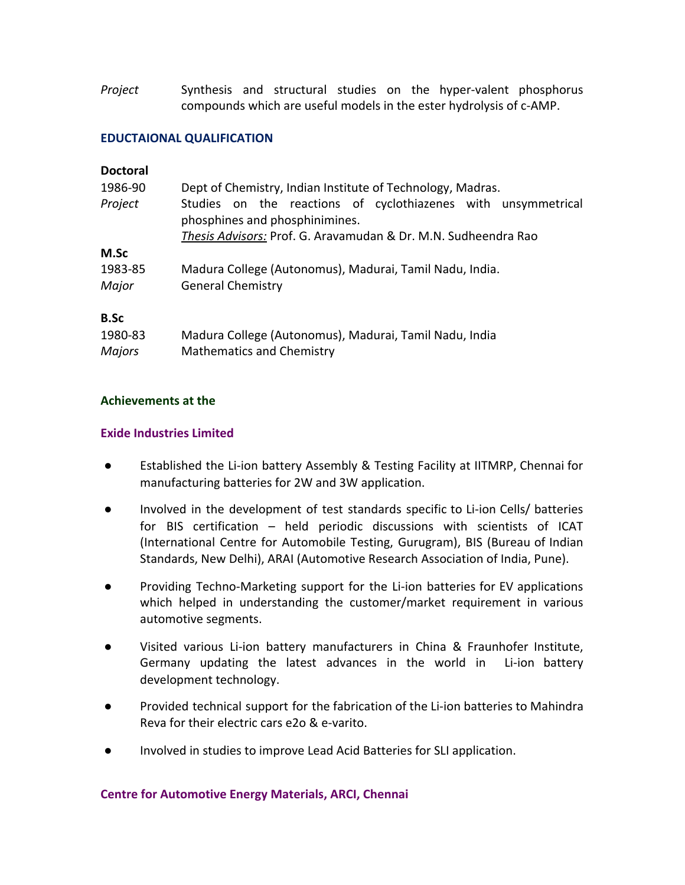*Project* Synthesis and structural studies on the hyper-valent phosphorus compounds which are useful models in the ester hydrolysis of c-AMP.

#### **EDUCTAIONAL QUALIFICATION**

| <b>Doctoral</b> |
|-----------------|
|-----------------|

| 1986-90       | Dept of Chemistry, Indian Institute of Technology, Madras.                                      |
|---------------|-------------------------------------------------------------------------------------------------|
| Project       | Studies on the reactions of cyclothiazenes with unsymmetrical<br>phosphines and phosphinimines. |
|               | Thesis Advisors: Prof. G. Aravamudan & Dr. M.N. Sudheendra Rao                                  |
| M.Sc          |                                                                                                 |
| 1983-85       | Madura College (Autonomus), Madurai, Tamil Nadu, India.                                         |
| Major         | <b>General Chemistry</b>                                                                        |
| <b>B.Sc</b>   |                                                                                                 |
| 1980-83       | Madura College (Autonomus), Madurai, Tamil Nadu, India                                          |
| <b>Majors</b> | Mathematics and Chemistry                                                                       |

#### **Achievements at the**

### **Exide Industries Limited**

- Established the Li-ion battery Assembly & Testing Facility at IITMRP, Chennai for manufacturing batteries for 2W and 3W application.
- Involved in the development of test standards specific to Li-ion Cells/ batteries for BIS certification – held periodic discussions with scientists of ICAT (International Centre for Automobile Testing, Gurugram), BIS (Bureau of Indian Standards, New Delhi), ARAI (Automotive Research Association of India, Pune).
- Providing Techno-Marketing support for the Li-ion batteries for EV applications which helped in understanding the customer/market requirement in various automotive segments.
- Visited various Li-ion battery manufacturers in China & Fraunhofer Institute, Germany updating the latest advances in the world in Li-ion battery development technology.
- Provided technical support for the fabrication of the Li-ion batteries to Mahindra Reva for their electric cars e2o & e-varito.
- Involved in studies to improve Lead Acid Batteries for SLI application.

#### **Centre for Automotive Energy Materials, ARCI, Chennai**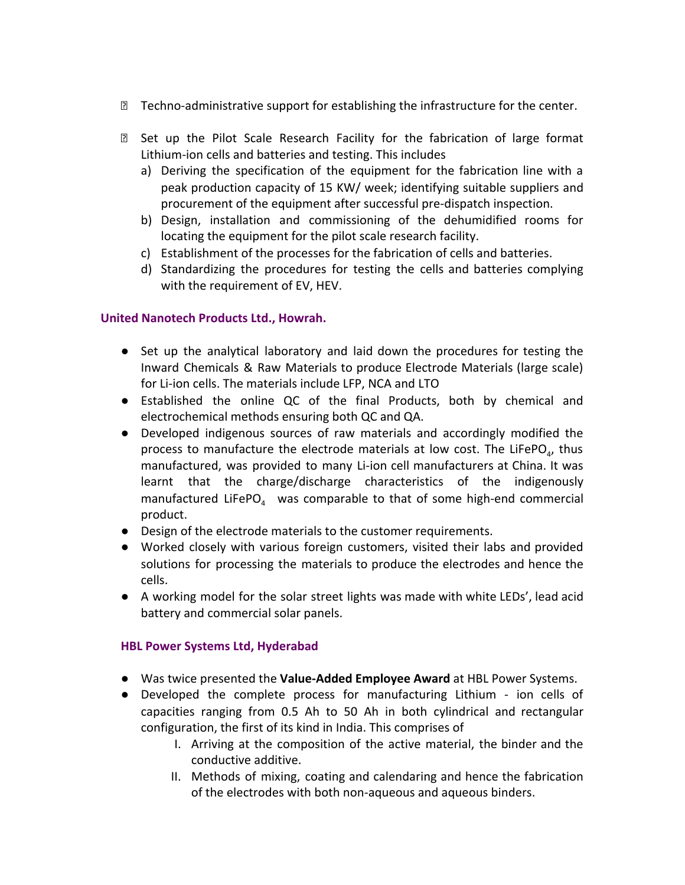- $\mathbb D$  Techno-administrative support for establishing the infrastructure for the center.
- **Z** Set up the Pilot Scale Research Facility for the fabrication of large format Lithium-ion cells and batteries and testing. This includes
	- a) Deriving the specification of the equipment for the fabrication line with a peak production capacity of 15 KW/ week; identifying suitable suppliers and procurement of the equipment after successful pre-dispatch inspection.
	- b) Design, installation and commissioning of the dehumidified rooms for locating the equipment for the pilot scale research facility.
	- c) Establishment of the processes for the fabrication of cells and batteries.
	- d) Standardizing the procedures for testing the cells and batteries complying with the requirement of EV, HEV.

# **United Nanotech Products Ltd., Howrah.**

- Set up the analytical laboratory and laid down the procedures for testing the Inward Chemicals & Raw Materials to produce Electrode Materials (large scale) for Li-ion cells. The materials include LFP, NCA and LTO
- Established the online QC of the final Products, both by chemical and electrochemical methods ensuring both QC and QA.
- Developed indigenous sources of raw materials and accordingly modified the process to manufacture the electrode materials at low cost. The LiFePO<sub>4</sub>, thus manufactured, was provided to many Li-ion cell manufacturers at China. It was learnt that the charge/discharge characteristics of the indigenously manufactured LiFePO $_4$  was comparable to that of some high-end commercial product.
- Design of the electrode materials to the customer requirements.
- Worked closely with various foreign customers, visited their labs and provided solutions for processing the materials to produce the electrodes and hence the cells.
- A working model for the solar street lights was made with white LEDs', lead acid battery and commercial solar panels.

# **HBL Power Systems Ltd, Hyderabad**

- Was twice presented the **Value-Added Employee Award** at HBL Power Systems.
- Developed the complete process for manufacturing Lithium ion cells of capacities ranging from 0.5 Ah to 50 Ah in both cylindrical and rectangular configuration, the first of its kind in India. This comprises of
	- I. Arriving at the composition of the active material, the binder and the conductive additive.
	- II. Methods of mixing, coating and calendaring and hence the fabrication of the electrodes with both non-aqueous and aqueous binders.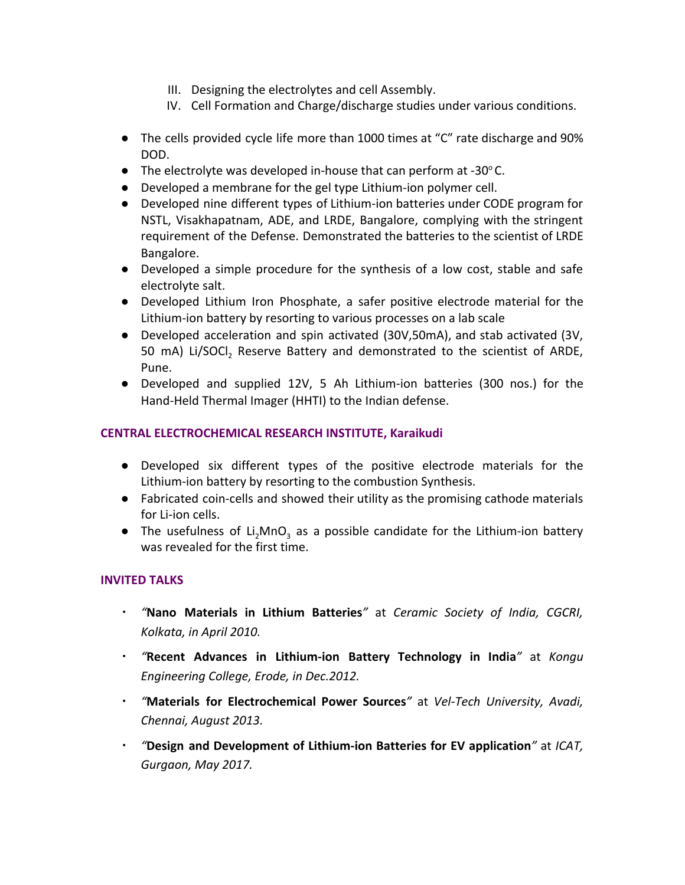- III. Designing the electrolytes and cell Assembly.
- IV. Cell Formation and Charge/discharge studies under various conditions.
- The cells provided cycle life more than 1000 times at "C" rate discharge and 90% DOD.
- $\bullet$  The electrolyte was developed in-house that can perform at -30 $^{\circ}$ C.
- Developed a membrane for the gel type Lithium-ion polymer cell.
- Developed nine different types of Lithium-ion batteries under CODE program for NSTL, Visakhapatnam, ADE, and LRDE, Bangalore, complying with the stringent requirement of the Defense. Demonstrated the batteries to the scientist of LRDE Bangalore.
- Developed a simple procedure for the synthesis of a low cost, stable and safe electrolyte salt.
- Developed Lithium Iron Phosphate, a safer positive electrode material for the Lithium-ion battery by resorting to various processes on a lab scale
- Developed acceleration and spin activated (30V,50mA), and stab activated (3V, 50 mA) Li/SOCI, Reserve Battery and demonstrated to the scientist of ARDE, Pune.
- Developed and supplied 12V, 5 Ah Lithium-ion batteries (300 nos.) for the Hand-Held Thermal Imager (HHTI) to the Indian defense.

# **CENTRAL ELECTROCHEMICAL RESEARCH INSTITUTE, Karaikudi**

- Developed six different types of the positive electrode materials for the Lithium-ion battery by resorting to the combustion Synthesis.
- Fabricated coin-cells and showed their utility as the promising cathode materials for Li-ion cells.
- The usefulness of Li<sub>2</sub>MnO<sub>3</sub> as a possible candidate for the Lithium-ion battery was revealed for the first time.

# **INVITED TALKS**

- *"***Nano Materials in Lithium Batteries***"* at *Ceramic Society of India, CGCRI, Kolkata, in April 2010.*
- *"***Recent Advances in Lithium-ion Battery Technology in India***"* at *Kongu Engineering College, Erode, in Dec.2012.*
- *"***Materials for Electrochemical Power Sources***"* at *Vel-Tech University, Avadi, Chennai, August 2013.*
- *"***Design and Development of Lithium-ion Batteries for EV application***"* at *ICAT, Gurgaon, May 2017.*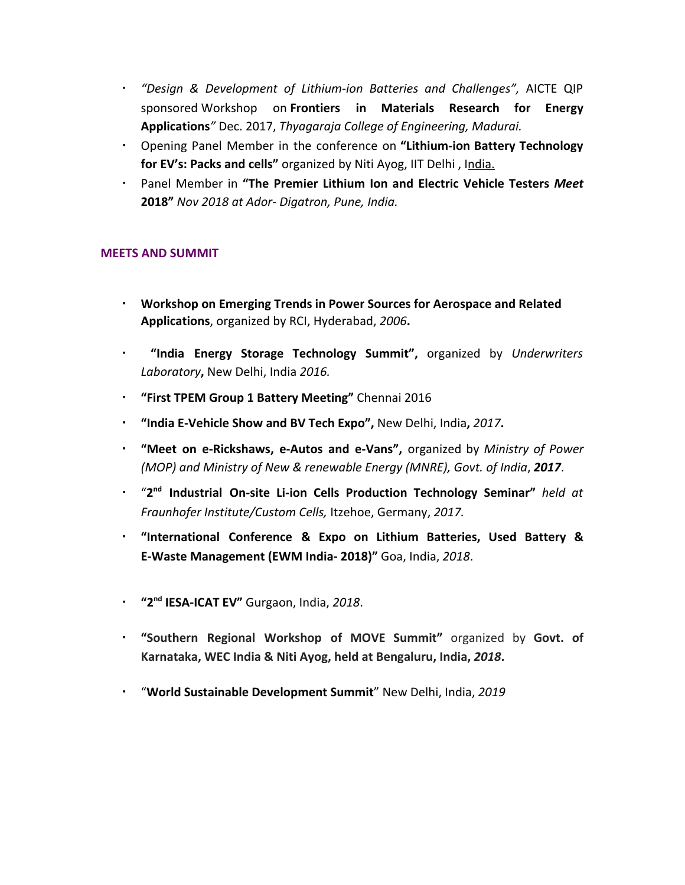- *"Design & Development of Lithium-ion Batteries and Challenges",* AICTE QIP sponsored Workshop on **Frontiers in Materials Research for Energy Applications***"* Dec. 2017, *Thyagaraja College of Engineering, Madurai.*
- Opening Panel Member in the conference on **"Lithium-ion Battery Technology for EV's: Packs and cells"** organized by Niti Ayog, IIT Delhi , India.
- Panel Member in **"The Premier Lithium Ion and Electric Vehicle Testers** *Meet* **2018"** *Nov 2018 at Ador- Digatron, Pune, India.*

# **MEETS AND SUMMIT**

- **Workshop on Emerging Trends in Power Sources for Aerospace and Related Applications**, organized by RCI, Hyderabad, *2006***.**
- **"India Energy Storage Technology Summit",** organized by *Underwriters Laboratory***,** New Delhi, India *2016.*
- **"First TPEM Group 1 Battery Meeting"** Chennai 2016
- **"India E-Vehicle Show and BV Tech Expo",** New Delhi, India**,** *2017***.**
- **"Meet on e-Rickshaws, e-Autos and e-Vans",** organized by *Ministry of Power (MOP) and Ministry of New & renewable Energy (MNRE), Govt. of India*, *2017*.
- "**2 nd Industrial On-site Li-ion Cells Production Technology Seminar"** *held at Fraunhofer Institute/Custom Cells,* Itzehoe, Germany, *2017.*
- **"International Conference & Expo on Lithium Batteries, Used Battery & E-Waste Management (EWM India- 2018)"** Goa, India, *2018*.
- **"2nd IESA-ICAT EV"** Gurgaon, India, *2018*.
- **"Southern Regional Workshop of MOVE Summit"** organized by **Govt. of Karnataka, WEC India & Niti Ayog, held at Bengaluru, India,** *2018***.**
- "**World Sustainable Development Summit**" New Delhi, India, *2019*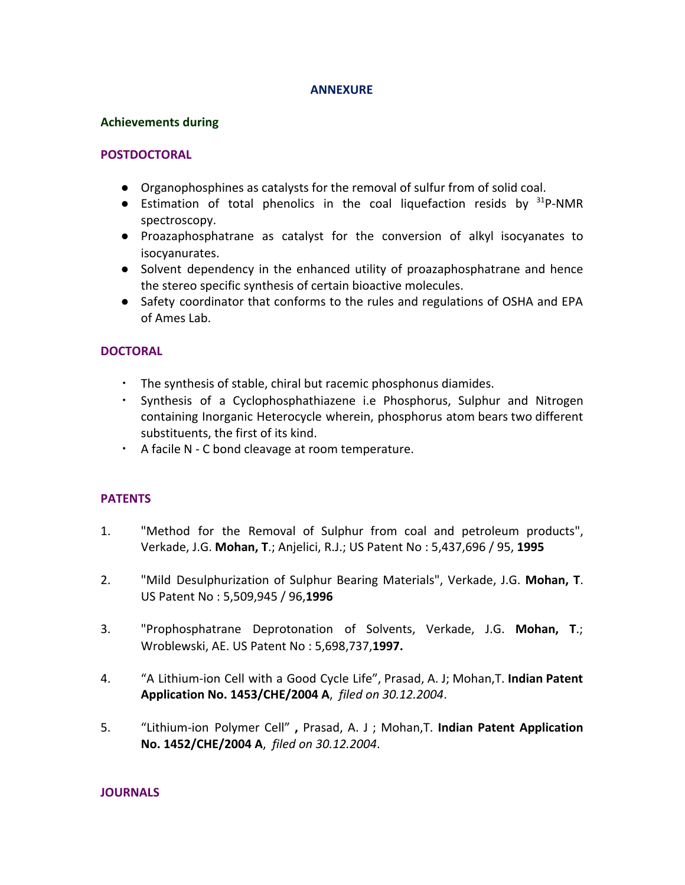#### **ANNEXURE**

#### **Achievements during**

#### **POSTDOCTORAL**

- Organophosphines as catalysts for the removal of sulfur from of solid coal.
- Estimation of total phenolics in the coal liquefaction resids by  $31P-NMR$ spectroscopy.
- Proazaphosphatrane as catalyst for the conversion of alkyl isocyanates to isocyanurates.
- Solvent dependency in the enhanced utility of proazaphosphatrane and hence the stereo specific synthesis of certain bioactive molecules.
- Safety coordinator that conforms to the rules and regulations of OSHA and EPA of Ames Lab.

# **DOCTORAL**

- The synthesis of stable, chiral but racemic phosphonus diamides.
- Synthesis of a Cyclophosphathiazene i.e Phosphorus, Sulphur and Nitrogen containing Inorganic Heterocycle wherein, phosphorus atom bears two different substituents, the first of its kind.
- A facile N C bond cleavage at room temperature.

# **PATENTS**

- 1. "Method for the Removal of Sulphur from coal and petroleum products", Verkade, J.G. **Mohan, T**.; Anjelici, R.J.; US Patent No : 5,437,696 / 95, **1995**
- 2. "Mild Desulphurization of Sulphur Bearing Materials", Verkade, J.G. **Mohan, T**. US Patent No : 5,509,945 / 96,**1996**
- 3. "Prophosphatrane Deprotonation of Solvents, Verkade, J.G. **Mohan, T**.; Wroblewski, AE. US Patent No : 5,698,737,**1997.**
- 4. "A Lithium-ion Cell with a Good Cycle Life", Prasad, A. J; Mohan,T. **Indian Patent Application No. 1453/CHE/2004 A**, *filed on 30.12.2004*.
- 5. "Lithium-ion Polymer Cell" **,** Prasad, A. J ; Mohan,T. **Indian Patent Application No. 1452/CHE/2004 A**, *filed on 30.12.2004*.

#### **JOURNALS**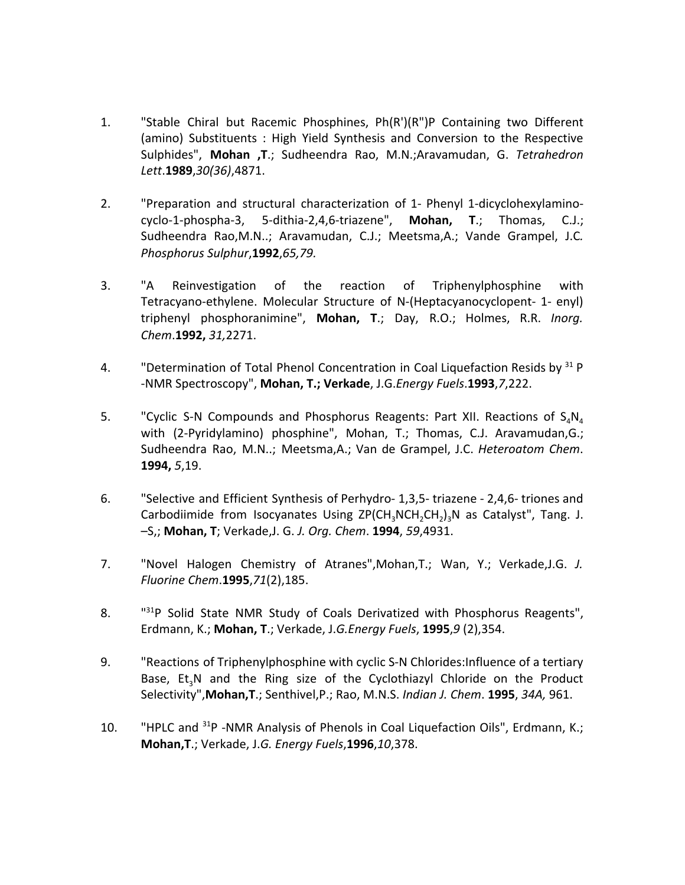- 1. "Stable Chiral but Racemic Phosphines, Ph(R')(R")P Containing two Different (amino) Substituents : High Yield Synthesis and Conversion to the Respective Sulphides", **Mohan ,T**.; Sudheendra Rao, M.N.;Aravamudan, G. *Tetrahedron Lett*.**1989**,*30(36)*,4871.
- 2. "Preparation and structural characterization of 1- Phenyl 1-dicyclohexylaminocyclo-1-phospha-3, 5-dithia-2,4,6-triazene", **Mohan, T**.; Thomas, C.J.; Sudheendra Rao,M.N..; Aravamudan, C.J.; Meetsma,A.; Vande Grampel, J.C*. Phosphorus Sulphur*,**1992**,*65,79.*
- 3. "A Reinvestigation of the reaction of Triphenylphosphine with Tetracyano-ethylene. Molecular Structure of N-(Heptacyanocyclopent- 1- enyl) triphenyl phosphoranimine", **Mohan, T**.; Day, R.O.; Holmes, R.R. *Inorg. Chem*.**1992,** *31,*2271.
- 4. "Determination of Total Phenol Concentration in Coal Liquefaction Resids by  $31\text{ P}$ -NMR Spectroscopy", **Mohan, T.; Verkade**, J.G.*Energy Fuels*.**1993**,*7*,222.
- 5. "Cyclic S-N Compounds and Phosphorus Reagents: Part XII. Reactions of  $S_A N_A$ with (2-Pyridylamino) phosphine", Mohan, T.; Thomas, C.J. Aravamudan,G.; Sudheendra Rao, M.N..; Meetsma,A.; Van de Grampel, J.C. *Heteroatom Chem*. **1994,** *5*,19.
- 6. "Selective and Efficient Synthesis of Perhydro- 1,3,5- triazene 2,4,6- triones and Carbodiimide from Isocyanates Using ZP(CH<sub>3</sub>NCH<sub>2</sub>CH<sub>2</sub>)<sub>3</sub>N as Catalyst", Tang. J. –S,; **Mohan, T**; Verkade,J. G. *J. Org. Chem*. **1994**, *59*,4931.
- 7. "Novel Halogen Chemistry of Atranes",Mohan,T.; Wan, Y.; Verkade,J.G. *J. Fluorine Chem*.**1995**,*71*(2),185.
- 8. "  $131P$  Solid State NMR Study of Coals Derivatized with Phosphorus Reagents", Erdmann, K.; **Mohan, T**.; Verkade, J.*G.Energy Fuels*, **1995**,*9* (2),354.
- 9. "Reactions of Triphenylphosphine with cyclic S-N Chlorides:Influence of a tertiary Base, Et<sub>3</sub>N and the Ring size of the Cyclothiazyl Chloride on the Product Selectivity",**Mohan,T**.; Senthivel,P.; Rao, M.N.S. *Indian J. Chem*. **1995**, *34A,* 961.
- 10. "HPLC and <sup>31</sup>P -NMR Analysis of Phenols in Coal Liquefaction Oils", Erdmann, K.; **Mohan,T**.; Verkade, J.*G. Energy Fuels*,**1996**,*10*,378.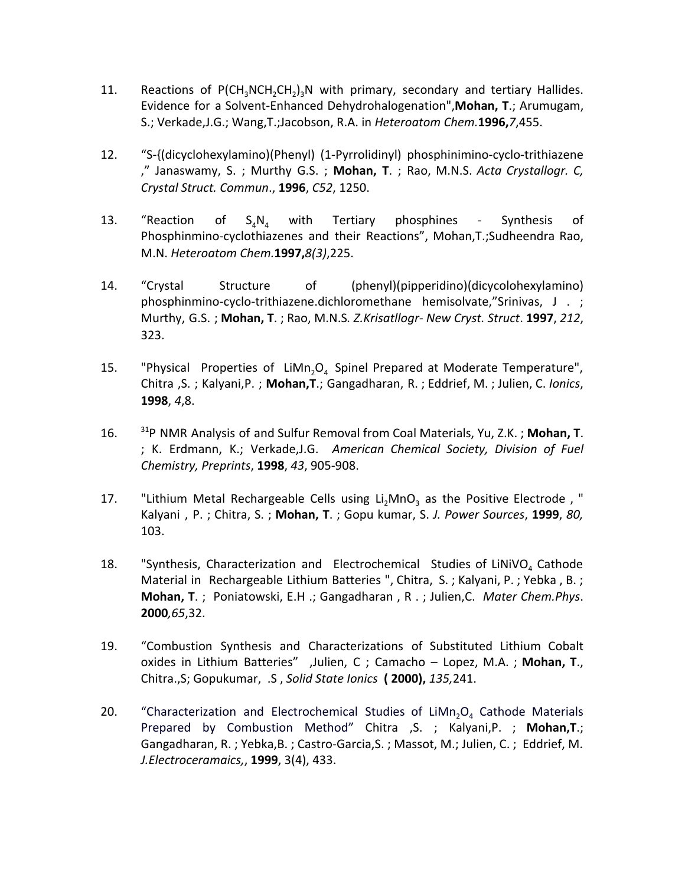- 11. Reactions of  $P(CH_3NCH_2CH_2)_3N$  with primary, secondary and tertiary Hallides. Evidence for a Solvent-Enhanced Dehydrohalogenation",**Mohan, T**.; Arumugam, S.; Verkade,J.G.; Wang,T.;Jacobson, R.A. in *Heteroatom Chem.***1996,***7*,455.
- 12. "S-{(dicyclohexylamino)(Phenyl) (1-Pyrrolidinyl) phosphinimino-cyclo-trithiazene ," Janaswamy, S. ; Murthy G.S. ; **Mohan, T**. ; Rao, M.N.S. *Acta Crystallogr. C, Crystal Struct. Commun*., **1996**, *C52*, 1250.
- 13. "Reaction of  $S_4N_4$  with Tertiary phosphines Synthesis of Phosphinmino-cyclothiazenes and their Reactions", Mohan,T.;Sudheendra Rao, M.N. *Heteroatom Chem.***1997,***8(3)*,225.
- 14. "Crystal Structure of (phenyl)(pipperidino)(dicycolohexylamino) phosphinmino-cyclo-trithiazene.dichloromethane hemisolvate,"Srinivas, J . ; Murthy, G.S. ; **Mohan, T**. ; Rao, M.N.S*. Z.Krisatllogr- New Cryst. Struct*. **1997**, *212*, 323.
- 15. "Physical Properties of LiMn<sub>2</sub>O<sub>4</sub> Spinel Prepared at Moderate Temperature", Chitra ,S. ; Kalyani,P. ; **Mohan,T**.; Gangadharan, R. ; Eddrief, M. ; Julien, C. *Ionics*, **1998**, *4*,8.
- 16. <sup>31</sup>P NMR Analysis of and Sulfur Removal from Coal Materials, Yu, Z.K. ; **Mohan, T**. ; K. Erdmann, K.; Verkade,J.G. *American Chemical Society, Division of Fuel Chemistry, Preprints*, **1998**, *43*, 905-908.
- 17. "Lithium Metal Rechargeable Cells using Li<sub>2</sub>MnO<sub>2</sub> as the Positive Electrode, " Kalyani , P. ; Chitra, S. ; **Mohan, T**. ; Gopu kumar, S. *J. Power Sources*, **1999**, *80,* 103.
- 18. "Synthesis, Characterization and Electrochemical Studies of LiNiVO<sub>4</sub> Cathode Material in Rechargeable Lithium Batteries ", Chitra, S. ; Kalyani, P. ; Yebka , B. ; **Mohan, T**. ; Poniatowski, E.H .; Gangadharan , R . ; Julien,C. *Mater Chem.Phys*. **2000***,65*,32.
- 19. "Combustion Synthesis and Characterizations of Substituted Lithium Cobalt oxides in Lithium Batteries" ,Julien, C ; Camacho – Lopez, M.A. ; **Mohan, T**., Chitra.,S; Gopukumar, .S , *Solid State Ionics* **( 2000),** *135,*241.
- 20. "Characterization and Electrochemical Studies of LiMn<sub>2</sub>O<sub>4</sub> Cathode Materials Prepared by Combustion Method" Chitra ,S. ; Kalyani,P. ; **Mohan,T**.; Gangadharan, R. ; Yebka,B. ; Castro-Garcia,S. ; Massot, M.; Julien, C. ; Eddrief, M. *J.Electroceramaics,*, **1999**, 3(4), 433.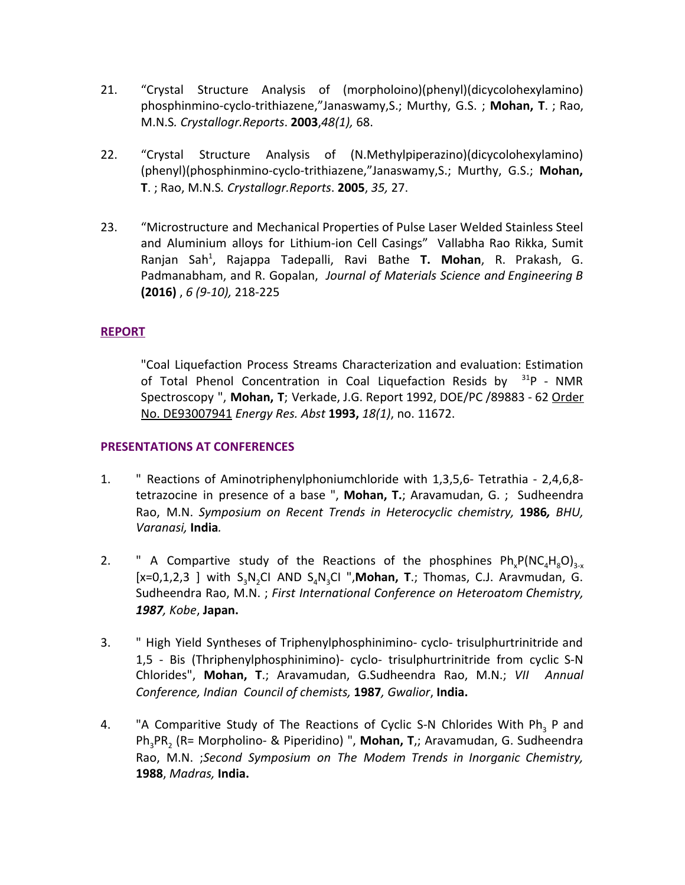- 21. "Crystal Structure Analysis of (morpholoino)(phenyl)(dicycolohexylamino) phosphinmino-cyclo-trithiazene,"Janaswamy,S.; Murthy, G.S. ; **Mohan, T**. ; Rao, M.N.S*. Crystallogr.Reports*. **2003**,*48(1),* 68.
- 22. "Crystal Structure Analysis of (N.Methylpiperazino)(dicycolohexylamino) (phenyl)(phosphinmino-cyclo-trithiazene,"Janaswamy,S.; Murthy, G.S.; **Mohan, T**. ; Rao, M.N.S*. Crystallogr.Reports*. **2005**, *35,* 27.
- 23. "Microstructure and Mechanical Properties of Pulse Laser Welded Stainless Steel and Aluminium alloys for Lithium-ion Cell Casings" Vallabha Rao Rikka, Sumit Ranjan Sah<sup>1</sup> , Rajappa Tadepalli, Ravi Bathe **T. Mohan**, R. Prakash, G. Padmanabham, and R. Gopalan, *Journal of Materials Science and Engineering B* **(2016)** , *6 (9-10),* 218-225

# **REPORT**

"Coal Liquefaction Process Streams Characterization and evaluation: Estimation of Total Phenol Concentration in Coal Liquefaction Resids by  $31P - NMR$ Spectroscopy ", **Mohan, T**; Verkade, J.G. Report 1992, DOE/PC /89883 - 62 Order No. DE93007941 *Energy Res. Abst* **1993,** *18(1)*, no. 11672.

### **PRESENTATIONS AT CONFERENCES**

- 1. " Reactions of Aminotriphenylphoniumchloride with 1,3,5,6- Tetrathia 2,4,6,8 tetrazocine in presence of a base ", **Mohan, T.**; Aravamudan, G. ; Sudheendra Rao, M.N. *Symposium on Recent Trends in Heterocyclic chemistry,* **1986***, BHU, Varanasi,* **India***.*
- 2. " A Compartive study of the Reactions of the phosphines  $Ph_eP(NC_AH_2O)_{3-x}$ [x=0,1,2,3 ] with S<sub>3</sub>N,CI AND S<sub>4</sub>N<sub>3</sub>CI ",Mohan, T.; Thomas, C.J. Aravmudan, G. Sudheendra Rao, M.N. ; *First International Conference on Heteroatom Chemistry, 1987, Kobe*, **Japan.**
- 3. " High Yield Syntheses of Triphenylphosphinimino- cyclo- trisulphurtrinitride and 1,5 - Bis (Thriphenylphosphinimino)- cyclo- trisulphurtrinitride from cyclic S-N Chlorides", **Mohan, T**.; Aravamudan, G.Sudheendra Rao, M.N.; *VII Annual Conference, Indian Council of chemists,* **1987***, Gwalior*, **India.**
- 4. "A Comparitive Study of The Reactions of Cyclic S-N Chlorides With Ph<sub>3</sub> P and Ph<sub>3</sub>PR<sub>2</sub> (R= Morpholino- & Piperidino) ", **Mohan, T**,; Aravamudan, G. Sudheendra Rao, M.N. ;*Second Symposium on The Modem Trends in Inorganic Chemistry,* **1988**, *Madras,* **India.**